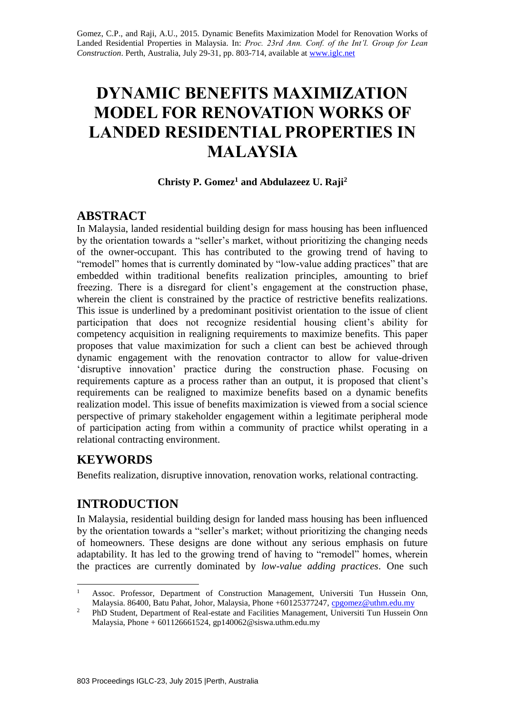Gomez, C.P., and Raji, A.U., 2015. Dynamic Benefits Maximization Model for Renovation Works of Landed Residential Properties in Malaysia. In: *Proc. 23rd Ann. Conf. of the Int'l. Group for Lean Construction*. Perth, Australia, July 29-31, pp. 803-714, available at [www.iglc.net](http://www.iglc.net/)

# **DYNAMIC BENEFITS MAXIMIZATION MODEL FOR RENOVATION WORKS OF LANDED RESIDENTIAL PROPERTIES IN MALAYSIA**

#### **Christy P. Gomez<sup>1</sup> and Abdulazeez U. Raji<sup>2</sup>**

### **ABSTRACT**

In Malaysia, landed residential building design for mass housing has been influenced by the orientation towards a "seller's market, without prioritizing the changing needs of the owner-occupant. This has contributed to the growing trend of having to "remodel" homes that is currently dominated by "low-value adding practices" that are embedded within traditional benefits realization principles, amounting to brief freezing. There is a disregard for client's engagement at the construction phase, wherein the client is constrained by the practice of restrictive benefits realizations. This issue is underlined by a predominant positivist orientation to the issue of client participation that does not recognize residential housing client's ability for competency acquisition in realigning requirements to maximize benefits. This paper proposes that value maximization for such a client can best be achieved through dynamic engagement with the renovation contractor to allow for value-driven 'disruptive innovation' practice during the construction phase. Focusing on requirements capture as a process rather than an output, it is proposed that client's requirements can be realigned to maximize benefits based on a dynamic benefits realization model. This issue of benefits maximization is viewed from a social science perspective of primary stakeholder engagement within a legitimate peripheral mode of participation acting from within a community of practice whilst operating in a relational contracting environment.

### **KEYWORDS**

Benefits realization, disruptive innovation, renovation works, relational contracting.

# **INTRODUCTION**

In Malaysia, residential building design for landed mass housing has been influenced by the orientation towards a "seller's market; without prioritizing the changing needs of homeowners. These designs are done without any serious emphasis on future adaptability. It has led to the growing trend of having to "remodel" homes, wherein the practices are currently dominated by *low-value adding practices*. One such

<sup>1</sup> <sup>1</sup> Assoc. Professor, Department of Construction Management, Universiti Tun Hussein Onn, Malaysia. 86400, Batu Pahat, Johor, Malaysia, Phone +60125377247, [cpgomez@uthm.edu.my](mailto:cpgomez@uthm.edu.my)

<sup>&</sup>lt;sup>2</sup> PhD Student, Department of Real-estate and Facilities Management, Universiti Tun Hussein Onn Malaysia, Phone + 601126661524, gp140062@siswa.uthm.edu.my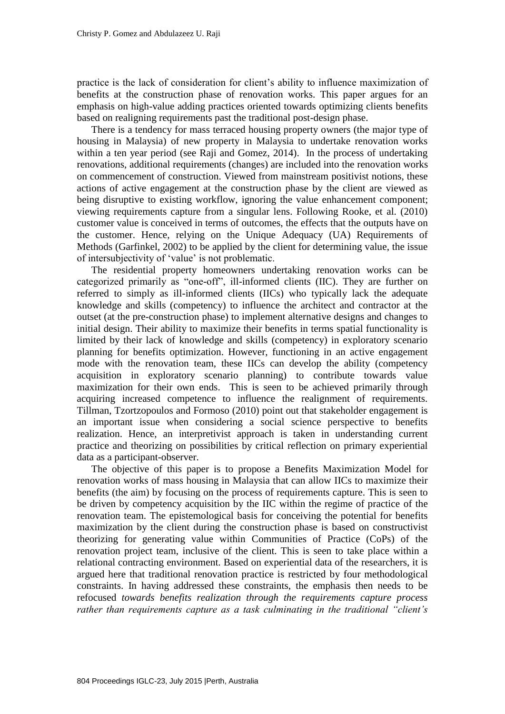practice is the lack of consideration for client's ability to influence maximization of benefits at the construction phase of renovation works. This paper argues for an emphasis on high-value adding practices oriented towards optimizing clients benefits based on realigning requirements past the traditional post-design phase.

There is a tendency for mass terraced housing property owners (the major type of housing in Malaysia) of new property in Malaysia to undertake renovation works within a ten year period (see Raji and Gomez, 2014). In the process of undertaking renovations, additional requirements (changes) are included into the renovation works on commencement of construction. Viewed from mainstream positivist notions, these actions of active engagement at the construction phase by the client are viewed as being disruptive to existing workflow, ignoring the value enhancement component; viewing requirements capture from a singular lens. Following Rooke, et al. (2010) customer value is conceived in terms of outcomes, the effects that the outputs have on the customer. Hence, relying on the Unique Adequacy (UA) Requirements of Methods (Garfinkel, 2002) to be applied by the client for determining value, the issue of intersubjectivity of 'value' is not problematic.

The residential property homeowners undertaking renovation works can be categorized primarily as "one-off", ill-informed clients (IIC). They are further on referred to simply as ill-informed clients (IICs) who typically lack the adequate knowledge and skills (competency) to influence the architect and contractor at the outset (at the pre-construction phase) to implement alternative designs and changes to initial design. Their ability to maximize their benefits in terms spatial functionality is limited by their lack of knowledge and skills (competency) in exploratory scenario planning for benefits optimization. However, functioning in an active engagement mode with the renovation team, these IICs can develop the ability (competency acquisition in exploratory scenario planning) to contribute towards value maximization for their own ends. This is seen to be achieved primarily through acquiring increased competence to influence the realignment of requirements. Tillman, Tzortzopoulos and Formoso (2010) point out that stakeholder engagement is an important issue when considering a social science perspective to benefits realization. Hence, an interpretivist approach is taken in understanding current practice and theorizing on possibilities by critical reflection on primary experiential data as a participant-observer.

The objective of this paper is to propose a Benefits Maximization Model for renovation works of mass housing in Malaysia that can allow IICs to maximize their benefits (the aim) by focusing on the process of requirements capture. This is seen to be driven by competency acquisition by the IIC within the regime of practice of the renovation team. The epistemological basis for conceiving the potential for benefits maximization by the client during the construction phase is based on constructivist theorizing for generating value within Communities of Practice (CoPs) of the renovation project team, inclusive of the client. This is seen to take place within a relational contracting environment. Based on experiential data of the researchers, it is argued here that traditional renovation practice is restricted by four methodological constraints. In having addressed these constraints, the emphasis then needs to be refocused *towards benefits realization through the requirements capture process rather than requirements capture as a task culminating in the traditional "client's*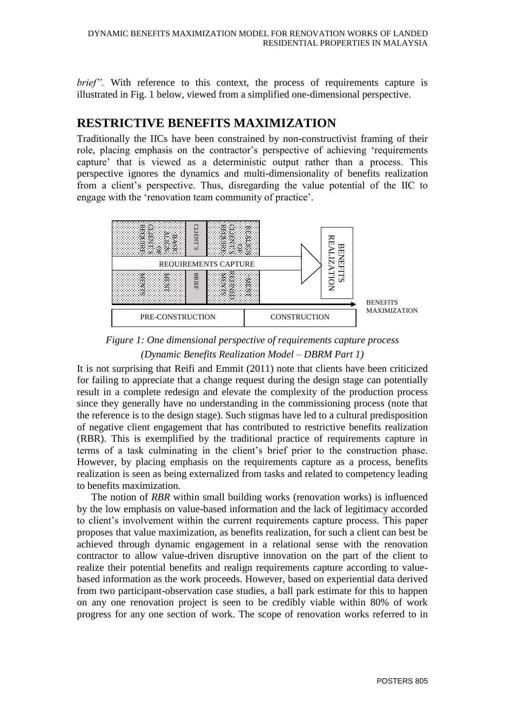*brief"*. With reference to this context, the process of requirements capture is illustrated in Fig. 1 below, viewed from a simplified one-dimensional perspective.

### **RESTRICTIVE BENEFITS MAXIMIZATION**

Traditionally the IICs have been constrained by non-constructivist framing of their role, placing emphasis on the contractor's perspective of achieving 'requirements capture' that is viewed as a deterministic output rather than a process. This perspective ignores the dynamics and multi-dimensionality of benefits realization from a client's perspective. Thus, disregarding the value potential of the IIC to engage with the 'renovation team community of practice'.



*Figure 1: One dimensional perspective of requirements capture process (Dynamic Benefits Realization Model – DBRM Part 1)*

It is not surprising that Reifi and Emmit (2011) note that clients have been criticized for failing to appreciate that a change request during the design stage can potentially result in a complete redesign and elevate the complexity of the production process since they generally have no understanding in the commissioning process (note that the reference is to the design stage). Such stigmas have led to a cultural predisposition of negative client engagement that has contributed to restrictive benefits realization (RBR). This is exemplified by the traditional practice of requirements capture in terms of a task culminating in the client's brief prior to the construction phase. However, by placing emphasis on the requirements capture as a process, benefits realization is seen as being externalized from tasks and related to competency leading to benefits maximization. **Progress for any one intervents of the scope of renovation of the scope of renovation of the scope of renovation of the scope of renovation of the scope of renovation of the scope of the scope of the scope of the scope o** 

The notion of *RBR* within small building works (renovation works) is influenced by the low emphasis on value-based information and the lack of legitimacy accorded to client's involvement within the current requirements capture process. This paper proposes that value maximization, as benefits realization, for such a client can best be achieved through dynamic engagement in a relational sense with the renovation contractor to allow value-driven disruptive innovation on the part of the client to realize their potential benefits and realign requirements capture according to valuebased information as the work proceeds. However, based on experiential data derived from two participant-observation case studies, a ball park estimate for this to happen on any one renovation project is seen to be credibly viable within 80% of work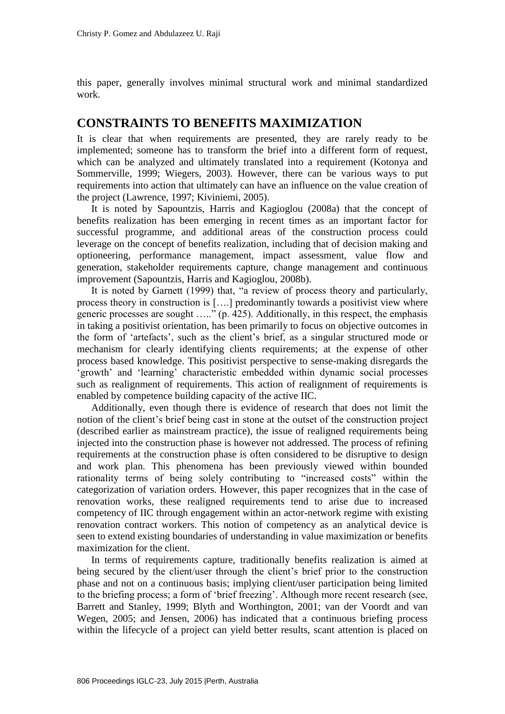this paper, generally involves minimal structural work and minimal standardized work.

#### **CONSTRAINTS TO BENEFITS MAXIMIZATION**

It is clear that when requirements are presented, they are rarely ready to be implemented; someone has to transform the brief into a different form of request, which can be analyzed and ultimately translated into a requirement (Kotonya and Sommerville, 1999; Wiegers, 2003). However, there can be various ways to put requirements into action that ultimately can have an influence on the value creation of the project (Lawrence, 1997; Kiviniemi, 2005).

It is noted by Sapountzis, Harris and Kagioglou (2008a) that the concept of benefits realization has been emerging in recent times as an important factor for successful programme, and additional areas of the construction process could leverage on the concept of benefits realization, including that of decision making and optioneering, performance management, impact assessment, value flow and generation, stakeholder requirements capture, change management and continuous improvement (Sapountzis, Harris and Kagioglou*,* 2008b).

It is noted by Garnett (1999) that, "a review of process theory and particularly, process theory in construction is [….] predominantly towards a positivist view where generic processes are sought  $\ldots$ <sup>7</sup> (p. 425). Additionally, in this respect, the emphasis in taking a positivist orientation, has been primarily to focus on objective outcomes in the form of 'artefacts', such as the client's brief, as a singular structured mode or mechanism for clearly identifying clients requirements; at the expense of other process based knowledge. This positivist perspective to sense-making disregards the 'growth' and 'learning' characteristic embedded within dynamic social processes such as realignment of requirements. This action of realignment of requirements is enabled by competence building capacity of the active IIC.

Additionally, even though there is evidence of research that does not limit the notion of the client's brief being cast in stone at the outset of the construction project (described earlier as mainstream practice), the issue of realigned requirements being injected into the construction phase is however not addressed. The process of refining requirements at the construction phase is often considered to be disruptive to design and work plan. This phenomena has been previously viewed within bounded rationality terms of being solely contributing to "increased costs" within the categorization of variation orders. However, this paper recognizes that in the case of renovation works, these realigned requirements tend to arise due to increased competency of IIC through engagement within an actor-network regime with existing renovation contract workers. This notion of competency as an analytical device is seen to extend existing boundaries of understanding in value maximization or benefits maximization for the client.

In terms of requirements capture, traditionally benefits realization is aimed at being secured by the client/user through the client's brief prior to the construction phase and not on a continuous basis; implying client/user participation being limited to the briefing process; a form of 'brief freezing'. Although more recent research (see, Barrett and Stanley, 1999; Blyth and Worthington, 2001; van der Voordt and van Wegen, 2005; and Jensen, 2006) has indicated that a continuous briefing process within the lifecycle of a project can yield better results, scant attention is placed on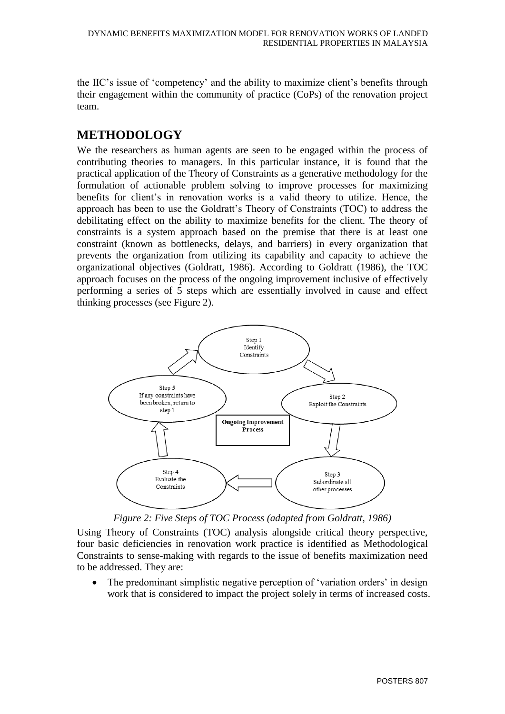the IIC's issue of 'competency' and the ability to maximize client's benefits through their engagement within the community of practice (CoPs) of the renovation project team.

# **METHODOLOGY**

We the researchers as human agents are seen to be engaged within the process of contributing theories to managers. In this particular instance, it is found that the practical application of the Theory of Constraints as a generative methodology for the formulation of actionable problem solving to improve processes for maximizing benefits for client's in renovation works is a valid theory to utilize. Hence, the approach has been to use the Goldratt's Theory of Constraints (TOC) to address the debilitating effect on the ability to maximize benefits for the client. The theory of constraints is a system approach based on the premise that there is at least one constraint (known as bottlenecks, delays, and barriers) in every organization that prevents the organization from utilizing its capability and capacity to achieve the organizational objectives (Goldratt, 1986). According to Goldratt (1986), the TOC approach focuses on the process of the ongoing improvement inclusive of effectively performing a series of 5 steps which are essentially involved in cause and effect thinking processes (see Figure 2).



*Figure 2: Five Steps of TOC Process (adapted from Goldratt, 1986)*

Using Theory of Constraints (TOC) analysis alongside critical theory perspective, four basic deficiencies in renovation work practice is identified as Methodological Constraints to sense-making with regards to the issue of benefits maximization need to be addressed. They are:

• The predominant simplistic negative perception of 'variation orders' in design work that is considered to impact the project solely in terms of increased costs.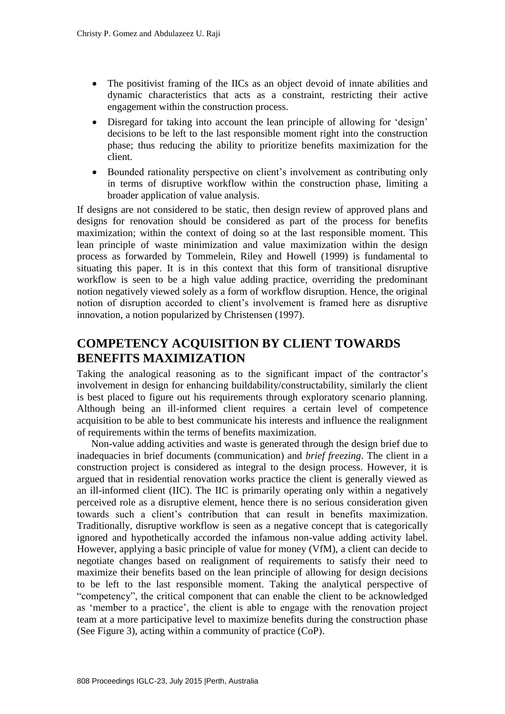- The positivist framing of the IICs as an object devoid of innate abilities and dynamic characteristics that acts as a constraint, restricting their active engagement within the construction process.
- Disregard for taking into account the lean principle of allowing for 'design' decisions to be left to the last responsible moment right into the construction phase; thus reducing the ability to prioritize benefits maximization for the client.
- Bounded rationality perspective on client's involvement as contributing only in terms of disruptive workflow within the construction phase, limiting a broader application of value analysis.

If designs are not considered to be static, then design review of approved plans and designs for renovation should be considered as part of the process for benefits maximization; within the context of doing so at the last responsible moment. This lean principle of waste minimization and value maximization within the design process as forwarded by Tommelein, Riley and Howell (1999) is fundamental to situating this paper. It is in this context that this form of transitional disruptive workflow is seen to be a high value adding practice, overriding the predominant notion negatively viewed solely as a form of workflow disruption. Hence, the original notion of disruption accorded to client's involvement is framed here as disruptive innovation, a notion popularized by Christensen (1997).

# **COMPETENCY ACQUISITION BY CLIENT TOWARDS BENEFITS MAXIMIZATION**

Taking the analogical reasoning as to the significant impact of the contractor's involvement in design for enhancing buildability/constructability, similarly the client is best placed to figure out his requirements through exploratory scenario planning. Although being an ill-informed client requires a certain level of competence acquisition to be able to best communicate his interests and influence the realignment of requirements within the terms of benefits maximization.

Non-value adding activities and waste is generated through the design brief due to inadequacies in brief documents (communication) and *brief freezing*. The client in a construction project is considered as integral to the design process. However, it is argued that in residential renovation works practice the client is generally viewed as an ill-informed client (IIC). The IIC is primarily operating only within a negatively perceived role as a disruptive element, hence there is no serious consideration given towards such a client's contribution that can result in benefits maximization. Traditionally, disruptive workflow is seen as a negative concept that is categorically ignored and hypothetically accorded the infamous non-value adding activity label. However, applying a basic principle of value for money (VfM), a client can decide to negotiate changes based on realignment of requirements to satisfy their need to maximize their benefits based on the lean principle of allowing for design decisions to be left to the last responsible moment. Taking the analytical perspective of "competency", the critical component that can enable the client to be acknowledged as 'member to a practice', the client is able to engage with the renovation project team at a more participative level to maximize benefits during the construction phase (See Figure 3), acting within a community of practice (CoP).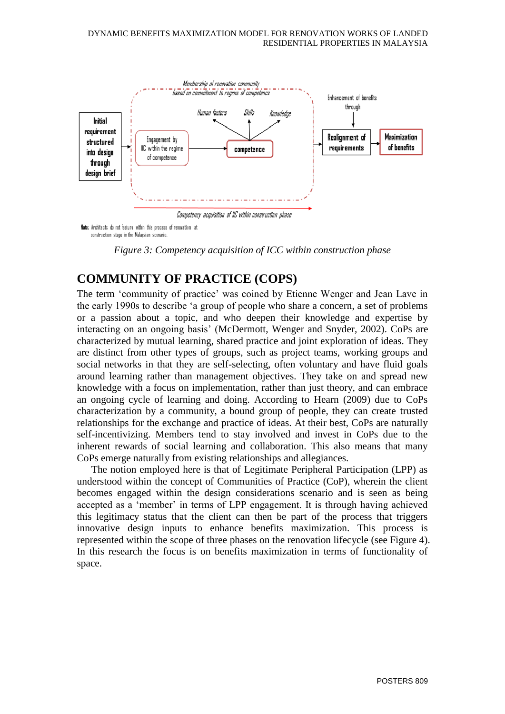

Note: Architects do not feature within this process of renovation at construction stage in the Malaysian scenario.

*Figure 3: Competency acquisition of ICC within construction phase*

# **COMMUNITY OF PRACTICE (COPS)**

The term 'community of practice' was coined by Etienne Wenger and Jean Lave in the early 1990s to describe 'a group of people who share a concern, a set of problems or a passion about a topic, and who deepen their knowledge and expertise by interacting on an ongoing basis' (McDermott, Wenger and Snyder*,* 2002). CoPs are characterized by mutual learning, shared practice and joint exploration of ideas. They are distinct from other types of groups, such as project teams, working groups and social networks in that they are self-selecting, often voluntary and have fluid goals around learning rather than management objectives. They take on and spread new knowledge with a focus on implementation, rather than just theory, and can embrace an ongoing cycle of learning and doing. According to Hearn (2009) due to CoPs characterization by a community, a bound group of people, they can create trusted relationships for the exchange and practice of ideas. At their best, CoPs are naturally self-incentivizing. Members tend to stay involved and invest in CoPs due to the inherent rewards of social learning and collaboration. This also means that many CoPs emerge naturally from existing relationships and allegiances.

The notion employed here is that of Legitimate Peripheral Participation (LPP) as understood within the concept of Communities of Practice (CoP), wherein the client becomes engaged within the design considerations scenario and is seen as being accepted as a 'member' in terms of LPP engagement. It is through having achieved this legitimacy status that the client can then be part of the process that triggers innovative design inputs to enhance benefits maximization. This process is represented within the scope of three phases on the renovation lifecycle (see Figure 4). In this research the focus is on benefits maximization in terms of functionality of space.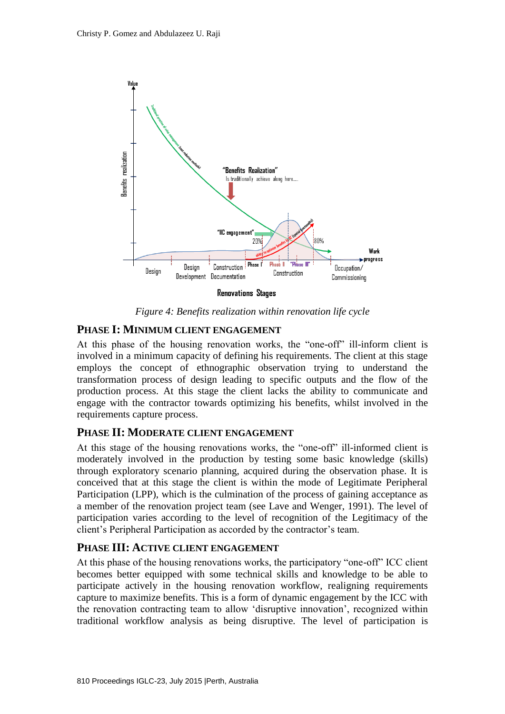

*Figure 4: Benefits realization within renovation life cycle* 

#### **PHASE I: MINIMUM CLIENT ENGAGEMENT**

At this phase of the housing renovation works, the "one-off" ill-inform client is involved in a minimum capacity of defining his requirements. The client at this stage employs the concept of ethnographic observation trying to understand the transformation process of design leading to specific outputs and the flow of the production process. At this stage the client lacks the ability to communicate and engage with the contractor towards optimizing his benefits, whilst involved in the requirements capture process.

#### **PHASE II: MODERATE CLIENT ENGAGEMENT**

At this stage of the housing renovations works, the "one-off" ill-informed client is moderately involved in the production by testing some basic knowledge (skills) through exploratory scenario planning, acquired during the observation phase. It is conceived that at this stage the client is within the mode of Legitimate Peripheral Participation (LPP), which is the culmination of the process of gaining acceptance as a member of the renovation project team (see Lave and Wenger, 1991). The level of participation varies according to the level of recognition of the Legitimacy of the client's Peripheral Participation as accorded by the contractor's team.

#### **PHASE III: ACTIVE CLIENT ENGAGEMENT**

At this phase of the housing renovations works, the participatory "one-off" ICC client becomes better equipped with some technical skills and knowledge to be able to participate actively in the housing renovation workflow, realigning requirements capture to maximize benefits. This is a form of dynamic engagement by the ICC with the renovation contracting team to allow 'disruptive innovation', recognized within traditional workflow analysis as being disruptive. The level of participation is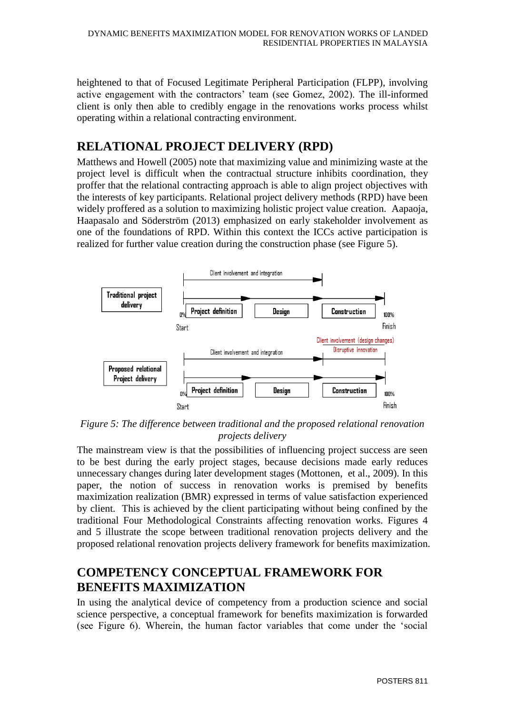heightened to that of Focused Legitimate Peripheral Participation (FLPP), involving active engagement with the contractors' team (see Gomez, 2002). The ill-informed client is only then able to credibly engage in the renovations works process whilst operating within a relational contracting environment.

# **RELATIONAL PROJECT DELIVERY (RPD)**

Matthews and Howell (2005) note that maximizing value and minimizing waste at the project level is difficult when the contractual structure inhibits coordination, they proffer that the relational contracting approach is able to align project objectives with the interests of key participants. Relational project delivery methods (RPD) have been widely proffered as a solution to maximizing holistic project value creation. Aapaoja, Haapasalo and Söderström (2013) emphasized on early stakeholder involvement as one of the foundations of RPD. Within this context the ICCs active participation is realized for further value creation during the construction phase (see Figure 5).



*Figure 5: The difference between traditional and the proposed relational renovation projects delivery*

The mainstream view is that the possibilities of influencing project success are seen to be best during the early project stages, because decisions made early reduces unnecessary changes during later development stages (Mottonen, et al., 2009). In this paper, the notion of success in renovation works is premised by benefits maximization realization (BMR) expressed in terms of value satisfaction experienced by client. This is achieved by the client participating without being confined by the traditional Four Methodological Constraints affecting renovation works. Figures 4 and 5 illustrate the scope between traditional renovation projects delivery and the proposed relational renovation projects delivery framework for benefits maximization.

# **COMPETENCY CONCEPTUAL FRAMEWORK FOR BENEFITS MAXIMIZATION**

In using the analytical device of competency from a production science and social science perspective, a conceptual framework for benefits maximization is forwarded (see Figure 6). Wherein, the human factor variables that come under the 'social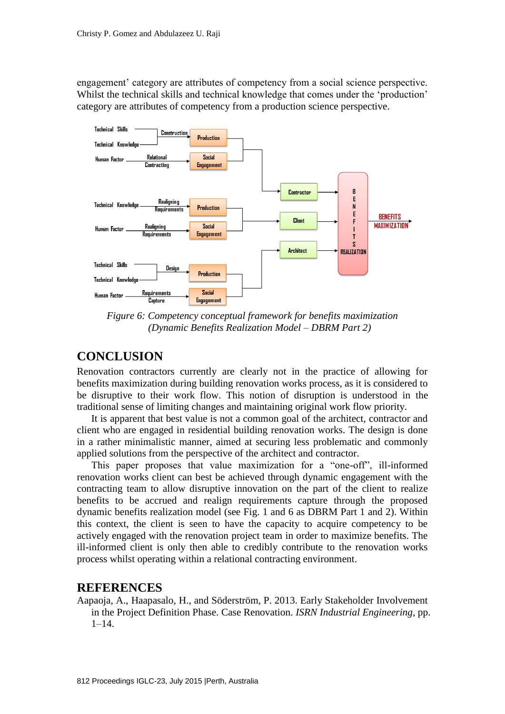engagement' category are attributes of competency from a social science perspective. Whilst the technical skills and technical knowledge that comes under the 'production' category are attributes of competency from a production science perspective.



*Figure 6: Competency conceptual framework for benefits maximization (Dynamic Benefits Realization Model – DBRM Part 2)*

### **CONCLUSION**

Renovation contractors currently are clearly not in the practice of allowing for benefits maximization during building renovation works process, as it is considered to be disruptive to their work flow. This notion of disruption is understood in the traditional sense of limiting changes and maintaining original work flow priority.

It is apparent that best value is not a common goal of the architect, contractor and client who are engaged in residential building renovation works. The design is done in a rather minimalistic manner, aimed at securing less problematic and commonly applied solutions from the perspective of the architect and contractor.

This paper proposes that value maximization for a "one-off", ill-informed renovation works client can best be achieved through dynamic engagement with the contracting team to allow disruptive innovation on the part of the client to realize benefits to be accrued and realign requirements capture through the proposed dynamic benefits realization model (see Fig. 1 and 6 as DBRM Part 1 and 2). Within this context, the client is seen to have the capacity to acquire competency to be actively engaged with the renovation project team in order to maximize benefits. The ill-informed client is only then able to credibly contribute to the renovation works process whilst operating within a relational contracting environment.

#### **REFERENCES**

Aapaoja, A., Haapasalo, H., and Söderström, P. 2013. Early Stakeholder Involvement in the Project Definition Phase. Case Renovation. *ISRN Industrial Engineering*, pp.  $1 - 14.$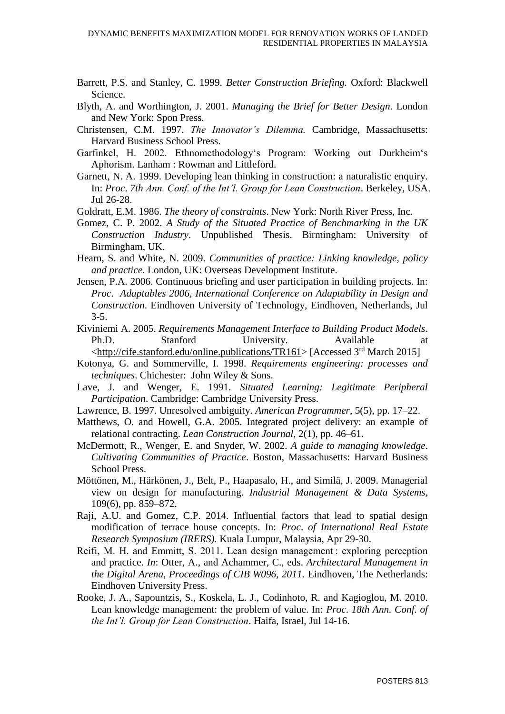- Barrett, P.S. and Stanley, C. 1999. *Better Construction Briefing.* Oxford: Blackwell Science.
- Blyth, A. and Worthington, J. 2001. *Managing the Brief for Better Design*. London and New York: Spon Press.
- Christensen, C.M. 1997. *The Innovator's Dilemma.* Cambridge, Massachusetts: Harvard Business School Press.
- Garfinkel, H. 2002. Ethnomethodology's Program: Working out Durkheim's Aphorism. Lanham : Rowman and Littleford.
- Garnett, N. A. 1999. Developing lean thinking in construction: a naturalistic enquiry. In: *Proc*. *7th Ann. Conf. of the Int'l. Group for Lean Construction*. Berkeley, USA, Jul 26-28.
- Goldratt, E.M. 1986. *The theory of constraints*. New York: North River Press, Inc.
- Gomez, C. P. 2002. *A Study of the Situated Practice of Benchmarking in the UK Construction Industry*. Unpublished Thesis. Birmingham: University of Birmingham, UK.
- Hearn, S. and White, N. 2009. *Communities of practice: Linking knowledge, policy and practice*. London, UK: Overseas Development Institute.
- Jensen, P.A. 2006. Continuous briefing and user participation in building projects. In: *Proc*. *Adaptables 2006, International Conference on Adaptability in Design and Construction*. Eindhoven University of Technology, Eindhoven, Netherlands, Jul 3-5.
- Kiviniemi A. 2005. *Requirements Management Interface to Building Product Models*. Ph.D. Stanford University. Available

[<http://cife.stanford.edu/online.publications/TR161>](http://cife.stanford.edu/online.publications/TR161) [Accessed 3rd March 2015]

- Kotonya, G. and Sommerville, I. 1998. *Requirements engineering: processes and techniques*. Chichester: John Wiley & Sons.
- Lave, J. and Wenger, E. 1991. *Situated Learning: Legitimate Peripheral Participation*. Cambridge: Cambridge University Press.
- Lawrence, B. 1997. Unresolved ambiguity. *American Programmer*, 5(5), pp. 17–22.
- Matthews, O. and Howell, G.A. 2005. Integrated project delivery: an example of relational contracting. *Lean Construction Journal,* 2(1), pp. 46–61.
- McDermott, R., Wenger, E. and Snyder, W. 2002. *A guide to managing knowledge*. *Cultivating Communities of Practice*. Boston, Massachusetts: Harvard Business School Press.
- Möttönen, M., Härkönen, J., Belt, P., Haapasalo, H., and Similä, J. 2009. Managerial view on design for manufacturing. *Industrial Management & Data Systems,* 109(6), pp. 859–872.
- Raji, A.U. and Gomez, C.P. 2014. Influential factors that lead to spatial design modification of terrace house concepts. In: *Proc*. *of International Real Estate Research Symposium (IRERS).* Kuala Lumpur, Malaysia, Apr 29-30.
- Reifi, M. H. and Emmitt, S. 2011. Lean design management : exploring perception and practice. *In*: Otter, A., and Achammer, C., eds. *Architectural Management in the Digital Arena, Proceedings of CIB W096, 2011.* Eindhoven, The Netherlands: Eindhoven University Press.
- Rooke, J. A., Sapountzis, S., Koskela, L. J., Codinhoto, R. and Kagioglou, M. 2010. Lean knowledge management: the problem of value. In: *Proc*. *18th Ann. Conf. of the Int'l. Group for Lean Construction*. Haifa, Israel, Jul 14-16.